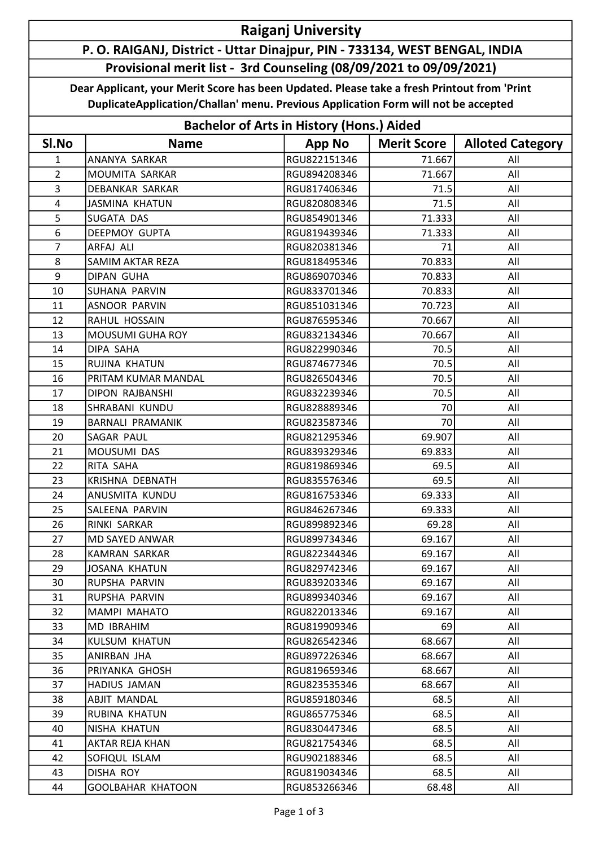## Raiganj University

## P. O. RAIGANJ, District - Uttar Dinajpur, PIN - 733134, WEST BENGAL, INDIA Provisional merit list - 3rd Counseling (08/09/2021 to 09/09/2021)

Dear Applicant, your Merit Score has been Updated. Please take a fresh Printout from 'Print DuplicateApplication/Challan' menu. Previous Application Form will not be accepted

| <b>Bachelor of Arts in History (Hons.) Aided</b> |                          |               |                    |                         |  |  |  |  |
|--------------------------------------------------|--------------------------|---------------|--------------------|-------------------------|--|--|--|--|
| SI.No                                            | <b>Name</b>              | <b>App No</b> | <b>Merit Score</b> | <b>Alloted Category</b> |  |  |  |  |
| $\mathbf{1}$                                     | ANANYA SARKAR            | RGU822151346  | 71.667             | All                     |  |  |  |  |
| $\overline{2}$                                   | MOUMITA SARKAR           | RGU894208346  | 71.667             | All                     |  |  |  |  |
| 3                                                | <b>DEBANKAR SARKAR</b>   | RGU817406346  | 71.5               | All                     |  |  |  |  |
| 4                                                | <b>JASMINA KHATUN</b>    | RGU820808346  | 71.5               | All                     |  |  |  |  |
| 5                                                | <b>SUGATA DAS</b>        | RGU854901346  | 71.333             | All                     |  |  |  |  |
| 6                                                | <b>DEEPMOY GUPTA</b>     | RGU819439346  | 71.333             | All                     |  |  |  |  |
| $\overline{7}$                                   | ARFAJ ALI                | RGU820381346  | 71                 | All                     |  |  |  |  |
| 8                                                | <b>SAMIM AKTAR REZA</b>  | RGU818495346  | 70.833             | All                     |  |  |  |  |
| 9                                                | <b>DIPAN GUHA</b>        | RGU869070346  | 70.833             | All                     |  |  |  |  |
| 10                                               | SUHANA PARVIN            | RGU833701346  | 70.833             | All                     |  |  |  |  |
| 11                                               | <b>ASNOOR PARVIN</b>     | RGU851031346  | 70.723             | All                     |  |  |  |  |
| 12                                               | RAHUL HOSSAIN            | RGU876595346  | 70.667             | All                     |  |  |  |  |
| 13                                               | <b>MOUSUMI GUHA ROY</b>  | RGU832134346  | 70.667             | All                     |  |  |  |  |
| 14                                               | DIPA SAHA                | RGU822990346  | 70.5               | All                     |  |  |  |  |
| 15                                               | RUJINA KHATUN            | RGU874677346  | 70.5               | All                     |  |  |  |  |
| 16                                               | PRITAM KUMAR MANDAL      | RGU826504346  | 70.5               | All                     |  |  |  |  |
| 17                                               | DIPON RAJBANSHI          | RGU832239346  | 70.5               | All                     |  |  |  |  |
| 18                                               | SHRABANI KUNDU           | RGU828889346  | 70                 | All                     |  |  |  |  |
| 19                                               | <b>BARNALI PRAMANIK</b>  | RGU823587346  | 70                 | All                     |  |  |  |  |
| 20                                               | SAGAR PAUL               | RGU821295346  | 69.907             | All                     |  |  |  |  |
| 21                                               | MOUSUMI DAS              | RGU839329346  | 69.833             | All                     |  |  |  |  |
| 22                                               | RITA SAHA                | RGU819869346  | 69.5               | All                     |  |  |  |  |
| 23                                               | KRISHNA DEBNATH          | RGU835576346  | 69.5               | All                     |  |  |  |  |
| 24                                               | ANUSMITA KUNDU           | RGU816753346  | 69.333             | All                     |  |  |  |  |
| 25                                               | SALEENA PARVIN           | RGU846267346  | 69.333             | All                     |  |  |  |  |
| 26                                               | RINKI SARKAR             | RGU899892346  | 69.28              | All                     |  |  |  |  |
| 27                                               | MD SAYED ANWAR           | RGU899734346  | 69.167             | All                     |  |  |  |  |
| 28                                               | KAMRAN SARKAR            | RGU822344346  | 69.167             | All                     |  |  |  |  |
| 29                                               | JOSANA KHATUN            | RGU829742346  | 69.167             | All                     |  |  |  |  |
| 30                                               | RUPSHA PARVIN            | RGU839203346  | 69.167             | All                     |  |  |  |  |
| 31                                               | RUPSHA PARVIN            | RGU899340346  | 69.167             | All                     |  |  |  |  |
| 32                                               | MAMPI MAHATO             | RGU822013346  | 69.167             | All                     |  |  |  |  |
| 33                                               | MD IBRAHIM               | RGU819909346  | 69                 | All                     |  |  |  |  |
| 34                                               | <b>KULSUM KHATUN</b>     | RGU826542346  | 68.667             | All                     |  |  |  |  |
| 35                                               | ANIRBAN JHA              | RGU897226346  | 68.667             | All                     |  |  |  |  |
| 36                                               | PRIYANKA GHOSH           | RGU819659346  | 68.667             | All                     |  |  |  |  |
| 37                                               | HADIUS JAMAN             | RGU823535346  | 68.667             | All                     |  |  |  |  |
| 38                                               | <b>ABJIT MANDAL</b>      | RGU859180346  | 68.5               | All                     |  |  |  |  |
| 39                                               | RUBINA KHATUN            | RGU865775346  | 68.5               | All                     |  |  |  |  |
| 40                                               | NISHA KHATUN             | RGU830447346  | 68.5               | All                     |  |  |  |  |
| 41                                               | AKTAR REJA KHAN          | RGU821754346  | 68.5               | All                     |  |  |  |  |
| 42                                               | SOFIQUL ISLAM            | RGU902188346  | 68.5               | All                     |  |  |  |  |
| 43                                               | DISHA ROY                | RGU819034346  | 68.5               | All                     |  |  |  |  |
| 44                                               | <b>GOOLBAHAR KHATOON</b> | RGU853266346  | 68.48              | All                     |  |  |  |  |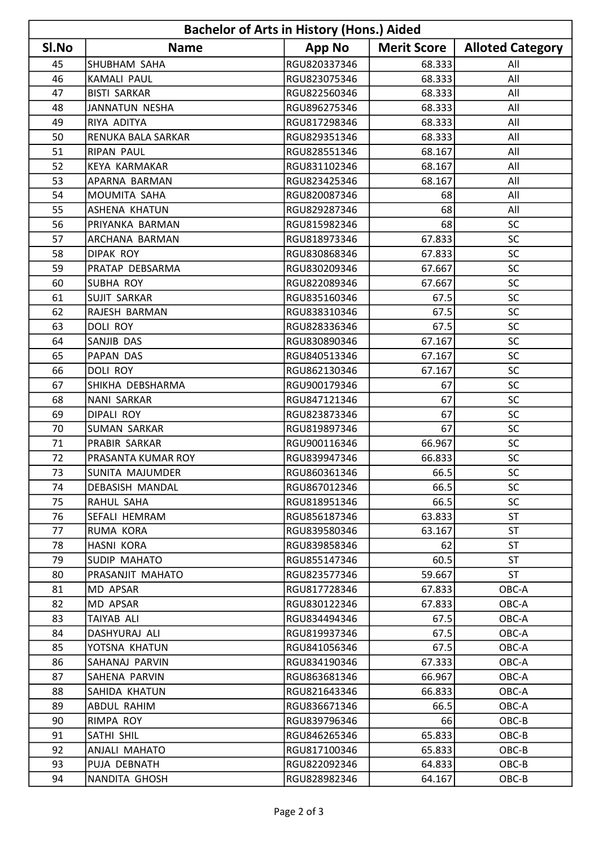| <b>Bachelor of Arts in History (Hons.) Aided</b> |                       |               |                    |                         |  |  |  |
|--------------------------------------------------|-----------------------|---------------|--------------------|-------------------------|--|--|--|
| SI.No                                            | <b>Name</b>           | <b>App No</b> | <b>Merit Score</b> | <b>Alloted Category</b> |  |  |  |
| 45                                               | SHUBHAM SAHA          | RGU820337346  | 68.333             | All                     |  |  |  |
| 46                                               | <b>KAMALI PAUL</b>    | RGU823075346  | 68.333             | All                     |  |  |  |
| 47                                               | <b>BISTI SARKAR</b>   | RGU822560346  | 68.333             | All                     |  |  |  |
| 48                                               | <b>JANNATUN NESHA</b> | RGU896275346  | 68.333             | All                     |  |  |  |
| 49                                               | RIYA ADITYA           | RGU817298346  | 68.333             | All                     |  |  |  |
| 50                                               | RENUKA BALA SARKAR    | RGU829351346  | 68.333             | All                     |  |  |  |
| 51                                               | <b>RIPAN PAUL</b>     | RGU828551346  | 68.167             | All                     |  |  |  |
| 52                                               | KEYA KARMAKAR         | RGU831102346  | 68.167             | All                     |  |  |  |
| 53                                               | APARNA BARMAN         | RGU823425346  | 68.167             | All                     |  |  |  |
| 54                                               | MOUMITA SAHA          | RGU820087346  | 68                 | All                     |  |  |  |
| 55                                               | <b>ASHENA KHATUN</b>  | RGU829287346  | 68                 | All                     |  |  |  |
| 56                                               | PRIYANKA BARMAN       | RGU815982346  | 68                 | SC                      |  |  |  |
| 57                                               | ARCHANA BARMAN        | RGU818973346  | 67.833             | SC                      |  |  |  |
| 58                                               | <b>DIPAK ROY</b>      | RGU830868346  | 67.833             | SC                      |  |  |  |
| 59                                               | PRATAP DEBSARMA       | RGU830209346  | 67.667             | SC                      |  |  |  |
| 60                                               | <b>SUBHA ROY</b>      | RGU822089346  | 67.667             | SC                      |  |  |  |
| 61                                               | <b>SUJIT SARKAR</b>   | RGU835160346  | 67.5               | SC                      |  |  |  |
| 62                                               | RAJESH BARMAN         | RGU838310346  | 67.5               | SC                      |  |  |  |
| 63                                               | <b>DOLI ROY</b>       | RGU828336346  | 67.5               | SC                      |  |  |  |
| 64                                               | SANJIB DAS            | RGU830890346  | 67.167             | SC                      |  |  |  |
| 65                                               | PAPAN DAS             | RGU840513346  | 67.167             | SC                      |  |  |  |
| 66                                               | DOLI ROY              | RGU862130346  | 67.167             | SC                      |  |  |  |
| 67                                               | SHIKHA DEBSHARMA      | RGU900179346  | 67                 | SC                      |  |  |  |
| 68                                               | <b>NANI SARKAR</b>    | RGU847121346  | 67                 | <b>SC</b>               |  |  |  |
| 69                                               | <b>DIPALI ROY</b>     | RGU823873346  | 67                 | SC                      |  |  |  |
| 70                                               | <b>SUMAN SARKAR</b>   | RGU819897346  | 67                 | SC                      |  |  |  |
| 71                                               | PRABIR SARKAR         | RGU900116346  | 66.967             | SC                      |  |  |  |
| 72                                               | PRASANTA KUMAR ROY    | RGU839947346  | 66.833             | SC                      |  |  |  |
| 73                                               | SUNITA MAJUMDER       | RGU860361346  | 66.5               | SC.                     |  |  |  |
| 74                                               | DEBASISH MANDAL       | RGU867012346  | 66.5               | <b>SC</b>               |  |  |  |
| 75                                               | RAHUL SAHA            | RGU818951346  | 66.5               | <b>SC</b>               |  |  |  |
| 76                                               | SEFALI HEMRAM         | RGU856187346  | 63.833             | <b>ST</b>               |  |  |  |
| 77                                               | RUMA KORA             | RGU839580346  | 63.167             | ST                      |  |  |  |
| 78                                               | HASNI KORA            | RGU839858346  | 62                 | ST                      |  |  |  |
| 79                                               | SUDIP MAHATO          | RGU855147346  | 60.5               | <b>ST</b>               |  |  |  |
| 80                                               | PRASANJIT MAHATO      | RGU823577346  | 59.667             | ST                      |  |  |  |
| 81                                               | MD APSAR              | RGU817728346  | 67.833             | OBC-A                   |  |  |  |
| 82                                               | MD APSAR              | RGU830122346  | 67.833             | OBC-A                   |  |  |  |
| 83                                               | TAIYAB ALI            | RGU834494346  | 67.5               | OBC-A                   |  |  |  |
| 84                                               | DASHYURAJ ALI         | RGU819937346  | 67.5               | OBC-A                   |  |  |  |
| 85                                               | YOTSNA KHATUN         | RGU841056346  | 67.5               | OBC-A                   |  |  |  |
| 86                                               | SAHANAJ PARVIN        | RGU834190346  | 67.333             | OBC-A                   |  |  |  |
| 87                                               | SAHENA PARVIN         | RGU863681346  | 66.967             | OBC-A                   |  |  |  |
| 88                                               | SAHIDA KHATUN         | RGU821643346  | 66.833             | OBC-A                   |  |  |  |
| 89                                               | ABDUL RAHIM           | RGU836671346  | 66.5               | OBC-A                   |  |  |  |
| 90                                               | RIMPA ROY             | RGU839796346  | 66                 | OBC-B                   |  |  |  |
| 91                                               | SATHI SHIL            | RGU846265346  | 65.833             | OBC-B                   |  |  |  |
| 92                                               | ANJALI MAHATO         | RGU817100346  | 65.833             | OBC-B                   |  |  |  |
| 93                                               | PUJA DEBNATH          | RGU822092346  | 64.833             | OBC-B                   |  |  |  |
| 94                                               | NANDITA GHOSH         | RGU828982346  | 64.167             | OBC-B                   |  |  |  |